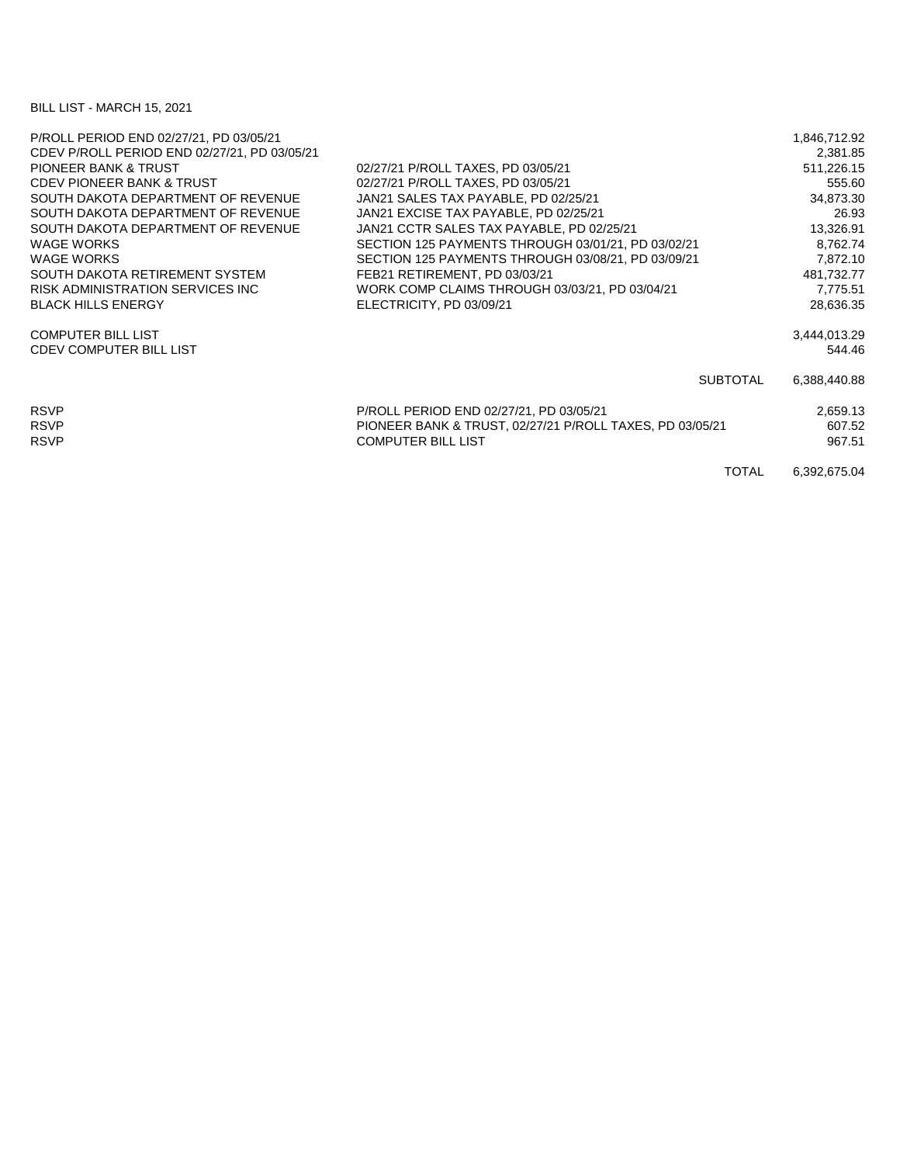## BILL LIST - MARCH 15, 2021

| P/ROLL PERIOD END 02/27/21, PD 03/05/21      |                                                          | 1,846,712.92 |
|----------------------------------------------|----------------------------------------------------------|--------------|
| CDEV P/ROLL PERIOD END 02/27/21, PD 03/05/21 |                                                          | 2,381.85     |
| <b>PIONEER BANK &amp; TRUST</b>              | 02/27/21 P/ROLL TAXES, PD 03/05/21                       | 511,226.15   |
| <b>CDEV PIONEER BANK &amp; TRUST</b>         | 02/27/21 P/ROLL TAXES, PD 03/05/21                       | 555.60       |
| SOUTH DAKOTA DEPARTMENT OF REVENUE           | JAN21 SALES TAX PAYABLE, PD 02/25/21                     | 34,873.30    |
| SOUTH DAKOTA DEPARTMENT OF REVENUE           | JAN21 EXCISE TAX PAYABLE, PD 02/25/21                    | 26.93        |
| SOUTH DAKOTA DEPARTMENT OF REVENUE           | JAN21 CCTR SALES TAX PAYABLE, PD 02/25/21                | 13,326.91    |
| <b>WAGE WORKS</b>                            | SECTION 125 PAYMENTS THROUGH 03/01/21, PD 03/02/21       | 8,762.74     |
| <b>WAGE WORKS</b>                            | SECTION 125 PAYMENTS THROUGH 03/08/21, PD 03/09/21       | 7,872.10     |
| SOUTH DAKOTA RETIREMENT SYSTEM               | FEB21 RETIREMENT, PD 03/03/21                            | 481,732.77   |
| RISK ADMINISTRATION SERVICES INC             | WORK COMP CLAIMS THROUGH 03/03/21, PD 03/04/21           | 7,775.51     |
| <b>BLACK HILLS ENERGY</b>                    | ELECTRICITY, PD 03/09/21                                 | 28,636.35    |
| <b>COMPUTER BILL LIST</b>                    |                                                          | 3,444,013.29 |
| <b>CDEV COMPUTER BILL LIST</b>               |                                                          | 544.46       |
|                                              | <b>SUBTOTAL</b>                                          | 6,388,440.88 |
| <b>RSVP</b>                                  | P/ROLL PERIOD END 02/27/21, PD 03/05/21                  | 2,659.13     |
| <b>RSVP</b>                                  | PIONEER BANK & TRUST, 02/27/21 P/ROLL TAXES, PD 03/05/21 | 607.52       |
| <b>RSVP</b>                                  | <b>COMPUTER BILL LIST</b>                                | 967.51       |
|                                              | <b>TOTAL</b>                                             | 6,392,675.04 |
|                                              |                                                          |              |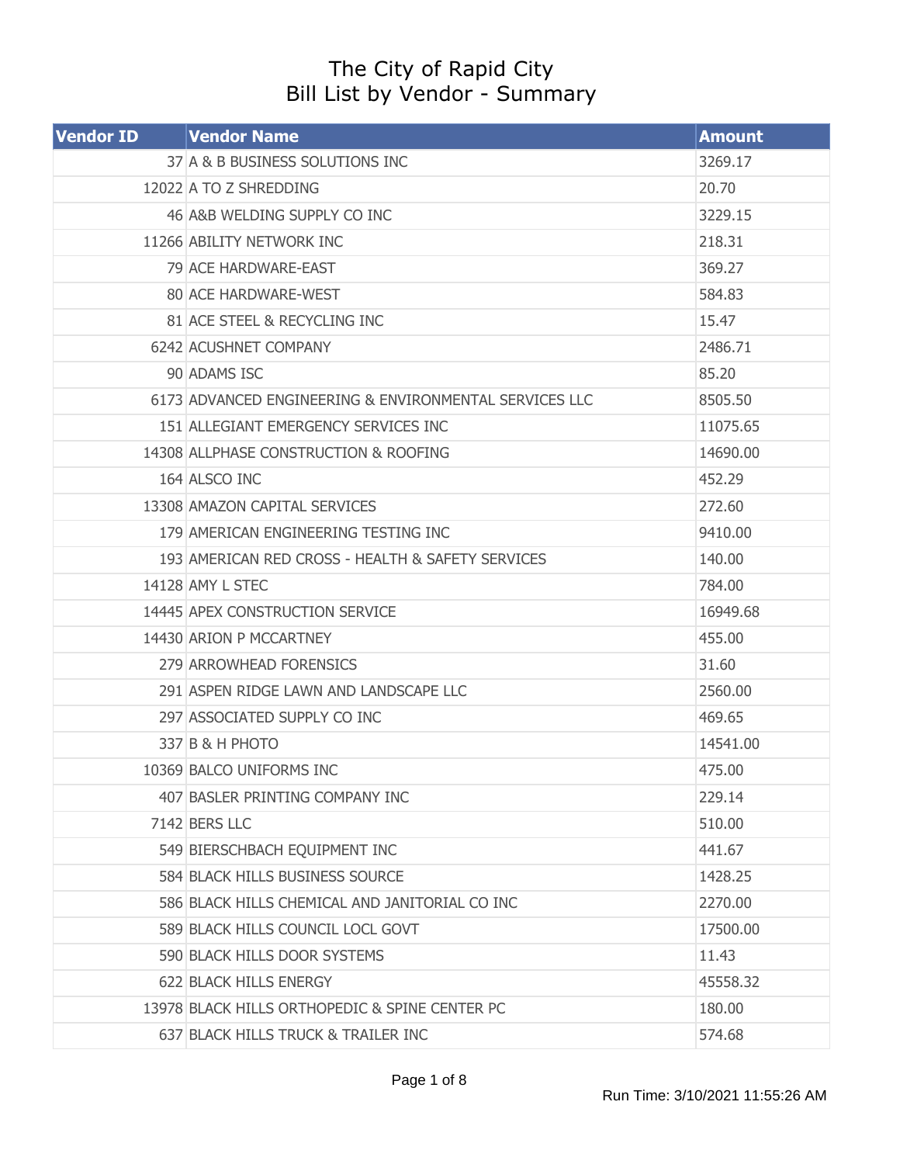## The City of Rapid City Bill List by Vendor - Summary

| <b>Vendor ID</b> | <b>Vendor Name</b>                                     | <b>Amount</b> |
|------------------|--------------------------------------------------------|---------------|
|                  | 37 A & B BUSINESS SOLUTIONS INC                        | 3269.17       |
|                  | 12022 A TO Z SHREDDING                                 | 20.70         |
|                  | 46 A&B WELDING SUPPLY CO INC                           | 3229.15       |
|                  | 11266 ABILITY NETWORK INC                              | 218.31        |
|                  | 79 ACE HARDWARE-EAST                                   | 369.27        |
|                  | 80 ACE HARDWARE-WEST                                   | 584.83        |
|                  | 81 ACE STEEL & RECYCLING INC                           | 15.47         |
|                  | 6242 ACUSHNET COMPANY                                  | 2486.71       |
|                  | 90 ADAMS ISC                                           | 85.20         |
|                  | 6173 ADVANCED ENGINEERING & ENVIRONMENTAL SERVICES LLC | 8505.50       |
|                  | 151 ALLEGIANT EMERGENCY SERVICES INC                   | 11075.65      |
|                  | 14308 ALLPHASE CONSTRUCTION & ROOFING                  | 14690.00      |
|                  | 164 ALSCO INC                                          | 452.29        |
|                  | 13308 AMAZON CAPITAL SERVICES                          | 272.60        |
|                  | 179 AMERICAN ENGINEERING TESTING INC                   | 9410.00       |
|                  | 193 AMERICAN RED CROSS - HEALTH & SAFETY SERVICES      | 140.00        |
|                  | 14128 AMY L STEC                                       | 784.00        |
|                  | 14445 APEX CONSTRUCTION SERVICE                        | 16949.68      |
|                  | 14430 ARION P MCCARTNEY                                | 455.00        |
|                  | 279 ARROWHEAD FORENSICS                                | 31.60         |
|                  | 291 ASPEN RIDGE LAWN AND LANDSCAPE LLC                 | 2560.00       |
|                  | 297 ASSOCIATED SUPPLY CO INC                           | 469.65        |
|                  | 337 B & H PHOTO                                        | 14541.00      |
|                  | 10369 BALCO UNIFORMS INC                               | 475.00        |
|                  | 407 BASLER PRINTING COMPANY INC                        | 229.14        |
|                  | 7142 BERS LLC                                          | 510.00        |
|                  | 549 BIERSCHBACH EQUIPMENT INC                          | 441.67        |
|                  | 584 BLACK HILLS BUSINESS SOURCE                        | 1428.25       |
|                  | 586 BLACK HILLS CHEMICAL AND JANITORIAL CO INC         | 2270.00       |
|                  | 589 BLACK HILLS COUNCIL LOCL GOVT                      | 17500.00      |
|                  | 590 BLACK HILLS DOOR SYSTEMS                           | 11.43         |
|                  | 622 BLACK HILLS ENERGY                                 | 45558.32      |
|                  | 13978 BLACK HILLS ORTHOPEDIC & SPINE CENTER PC         | 180.00        |
|                  | 637 BLACK HILLS TRUCK & TRAILER INC                    | 574.68        |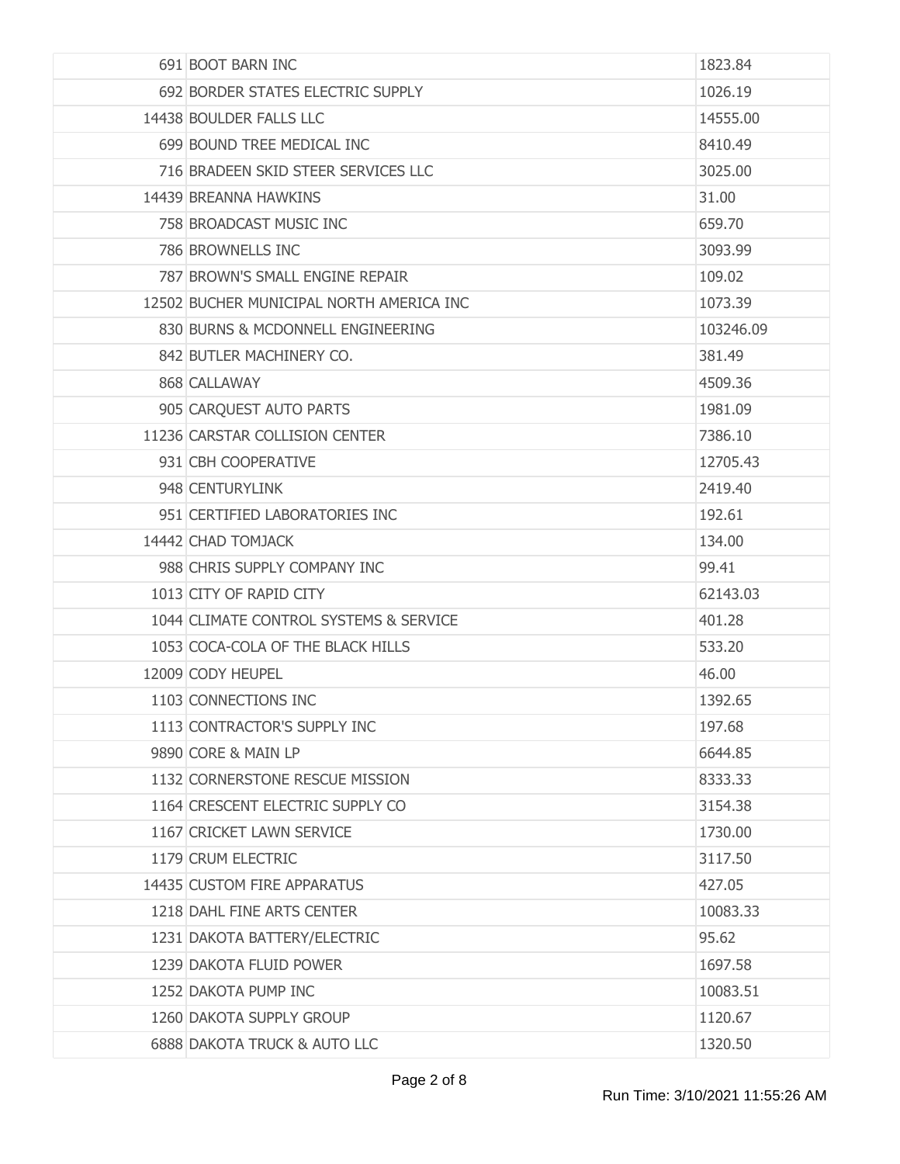| 691 BOOT BARN INC                        | 1823.84   |
|------------------------------------------|-----------|
| 692 BORDER STATES ELECTRIC SUPPLY        | 1026.19   |
| 14438 BOULDER FALLS LLC                  | 14555.00  |
| 699 BOUND TREE MEDICAL INC               | 8410.49   |
| 716 BRADEEN SKID STEER SERVICES LLC      | 3025.00   |
| 14439 BREANNA HAWKINS                    | 31.00     |
| 758 BROADCAST MUSIC INC                  | 659.70    |
| 786 BROWNELLS INC                        | 3093.99   |
| 787 BROWN'S SMALL ENGINE REPAIR          | 109.02    |
| 12502 BUCHER MUNICIPAL NORTH AMERICA INC | 1073.39   |
| 830 BURNS & MCDONNELL ENGINEERING        | 103246.09 |
| 842 BUTLER MACHINERY CO.                 | 381.49    |
| 868 CALLAWAY                             | 4509.36   |
| 905 CARQUEST AUTO PARTS                  | 1981.09   |
| 11236 CARSTAR COLLISION CENTER           | 7386.10   |
| 931 CBH COOPERATIVE                      | 12705.43  |
| 948 CENTURYLINK                          | 2419.40   |
| 951 CERTIFIED LABORATORIES INC           | 192.61    |
| 14442 CHAD TOMJACK                       | 134.00    |
| 988 CHRIS SUPPLY COMPANY INC             | 99.41     |
| 1013 CITY OF RAPID CITY                  | 62143.03  |
| 1044 CLIMATE CONTROL SYSTEMS & SERVICE   | 401.28    |
| 1053 COCA-COLA OF THE BLACK HILLS        | 533.20    |
| 12009 CODY HEUPEL                        | 46.00     |
| 1103 CONNECTIONS INC                     | 1392.65   |
| 1113 CONTRACTOR'S SUPPLY INC             | 197.68    |
| 9890 CORE & MAIN LP                      | 6644.85   |
| 1132 CORNERSTONE RESCUE MISSION          | 8333.33   |
| 1164 CRESCENT ELECTRIC SUPPLY CO         | 3154.38   |
| 1167 CRICKET LAWN SERVICE                | 1730.00   |
| 1179 CRUM ELECTRIC                       | 3117.50   |
| 14435 CUSTOM FIRE APPARATUS              | 427.05    |
| 1218 DAHL FINE ARTS CENTER               | 10083.33  |
| 1231 DAKOTA BATTERY/ELECTRIC             | 95.62     |
| 1239 DAKOTA FLUID POWER                  | 1697.58   |
| 1252 DAKOTA PUMP INC                     | 10083.51  |
| 1260 DAKOTA SUPPLY GROUP                 | 1120.67   |
| 6888 DAKOTA TRUCK & AUTO LLC             | 1320.50   |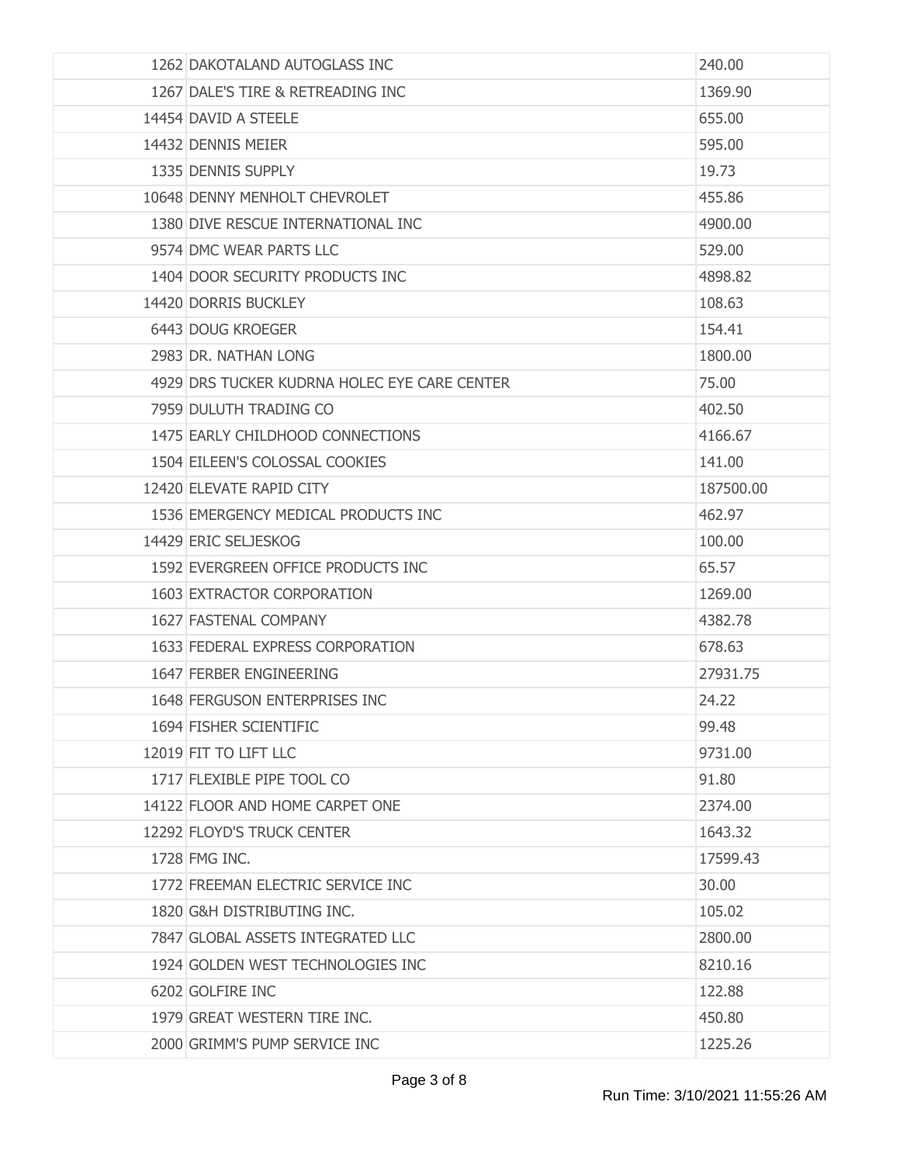| 1262 DAKOTALAND AUTOGLASS INC                | 240,00    |
|----------------------------------------------|-----------|
| 1267 DALE'S TIRE & RETREADING INC            | 1369.90   |
| 14454 DAVID A STEELE                         | 655.00    |
| 14432 DENNIS MEIER                           | 595.00    |
| 1335 DENNIS SUPPLY                           | 19.73     |
| 10648 DENNY MENHOLT CHEVROLET                | 455.86    |
| 1380 DIVE RESCUE INTERNATIONAL INC           | 4900.00   |
| 9574 DMC WEAR PARTS LLC                      | 529.00    |
| 1404 DOOR SECURITY PRODUCTS INC              | 4898.82   |
| 14420 DORRIS BUCKLEY                         | 108.63    |
| 6443 DOUG KROEGER                            | 154.41    |
| 2983 DR. NATHAN LONG                         | 1800.00   |
| 4929 DRS TUCKER KUDRNA HOLEC EYE CARE CENTER | 75.00     |
| 7959 DULUTH TRADING CO                       | 402.50    |
| 1475 EARLY CHILDHOOD CONNECTIONS             | 4166.67   |
| 1504 EILEEN'S COLOSSAL COOKIES               | 141.00    |
| 12420 ELEVATE RAPID CITY                     | 187500.00 |
| 1536 EMERGENCY MEDICAL PRODUCTS INC          | 462.97    |
| 14429 ERIC SELJESKOG                         | 100.00    |
| 1592 EVERGREEN OFFICE PRODUCTS INC           | 65.57     |
| 1603 EXTRACTOR CORPORATION                   | 1269.00   |
| 1627 FASTENAL COMPANY                        | 4382.78   |
| 1633 FEDERAL EXPRESS CORPORATION             | 678.63    |
| 1647 FERBER ENGINEERING                      | 27931.75  |
| <b>1648 FERGUSON ENTERPRISES INC</b>         | 24.22     |
| 1694 FISHER SCIENTIFIC                       | 99.48     |
| 12019 FIT TO LIFT LLC                        | 9731.00   |
| 1717 FLEXIBLE PIPE TOOL CO                   | 91.80     |
| 14122 FLOOR AND HOME CARPET ONE              | 2374.00   |
| 12292 FLOYD'S TRUCK CENTER                   | 1643.32   |
| 1728 FMG INC.                                | 17599.43  |
| 1772 FREEMAN ELECTRIC SERVICE INC            | 30.00     |
| 1820 G&H DISTRIBUTING INC.                   | 105.02    |
| 7847 GLOBAL ASSETS INTEGRATED LLC            | 2800.00   |
| 1924 GOLDEN WEST TECHNOLOGIES INC            | 8210.16   |
| 6202 GOLFIRE INC                             | 122.88    |
| 1979 GREAT WESTERN TIRE INC.                 | 450.80    |
| 2000 GRIMM'S PUMP SERVICE INC                | 1225.26   |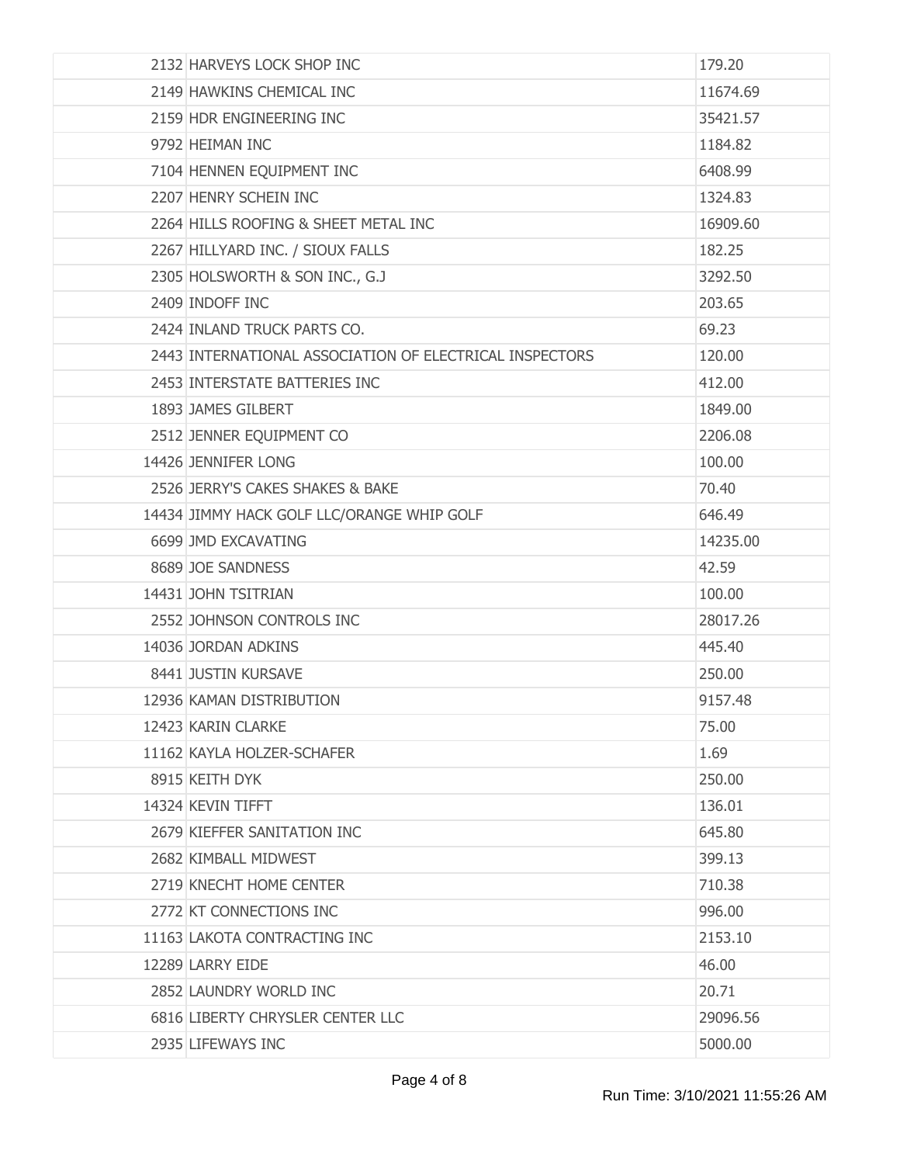| 2132 HARVEYS LOCK SHOP INC                              | 179.20   |
|---------------------------------------------------------|----------|
| 2149 HAWKINS CHEMICAL INC                               | 11674.69 |
| 2159 HDR ENGINEERING INC                                | 35421.57 |
| 9792 HEIMAN INC                                         | 1184.82  |
| 7104 HENNEN EQUIPMENT INC                               | 6408.99  |
| 2207 HENRY SCHEIN INC                                   | 1324.83  |
| 2264 HILLS ROOFING & SHEET METAL INC                    | 16909.60 |
| 2267 HILLYARD INC. / SIOUX FALLS                        | 182.25   |
| 2305 HOLSWORTH & SON INC., G.J                          | 3292.50  |
| 2409 INDOFF INC                                         | 203.65   |
| 2424 INLAND TRUCK PARTS CO.                             | 69.23    |
| 2443 INTERNATIONAL ASSOCIATION OF ELECTRICAL INSPECTORS | 120.00   |
| 2453 INTERSTATE BATTERIES INC                           | 412.00   |
| 1893 JAMES GILBERT                                      | 1849.00  |
| 2512 JENNER EQUIPMENT CO                                | 2206.08  |
| 14426 JENNIFER LONG                                     | 100.00   |
| 2526 JERRY'S CAKES SHAKES & BAKE                        | 70.40    |
| 14434 JIMMY HACK GOLF LLC/ORANGE WHIP GOLF              | 646.49   |
| 6699 JMD EXCAVATING                                     | 14235.00 |
| 8689 JOE SANDNESS                                       | 42.59    |
| 14431 JOHN TSITRIAN                                     | 100.00   |
| 2552 JOHNSON CONTROLS INC                               | 28017.26 |
| 14036 JORDAN ADKINS                                     | 445.40   |
| 8441 JUSTIN KURSAVE                                     | 250.00   |
| 12936 KAMAN DISTRIBUTION                                | 9157.48  |
| 12423 KARIN CLARKE                                      | 75.00    |
| 11162 KAYLA HOLZER-SCHAFER                              | 1.69     |
| 8915 KEITH DYK                                          | 250.00   |
| 14324 KEVIN TIFFT                                       | 136.01   |
| 2679 KIEFFER SANITATION INC                             | 645.80   |
| 2682 KIMBALL MIDWEST                                    | 399.13   |
| 2719 KNECHT HOME CENTER                                 | 710.38   |
| 2772 KT CONNECTIONS INC                                 | 996.00   |
| 11163 LAKOTA CONTRACTING INC                            | 2153.10  |
| 12289 LARRY EIDE                                        | 46.00    |
| 2852 LAUNDRY WORLD INC                                  | 20.71    |
| 6816 LIBERTY CHRYSLER CENTER LLC                        | 29096.56 |
| 2935 LIFEWAYS INC                                       | 5000.00  |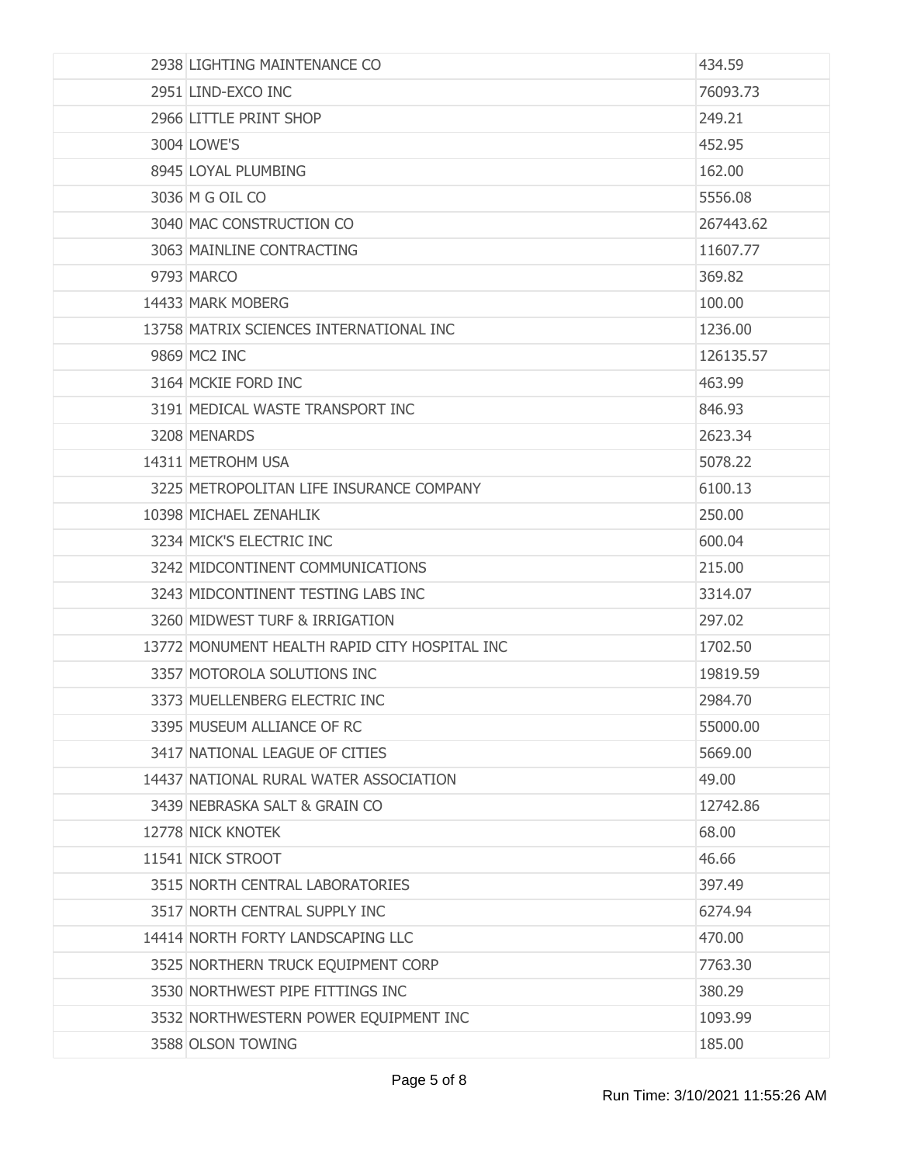| 2938 LIGHTING MAINTENANCE CO                  | 434.59    |
|-----------------------------------------------|-----------|
| 2951 LIND-EXCO INC                            | 76093.73  |
| 2966 LITTLE PRINT SHOP                        | 249.21    |
| 3004 LOWE'S                                   | 452.95    |
| 8945 LOYAL PLUMBING                           | 162.00    |
| 3036 M G OIL CO                               | 5556.08   |
| 3040 MAC CONSTRUCTION CO                      | 267443.62 |
| 3063 MAINLINE CONTRACTING                     | 11607.77  |
| 9793 MARCO                                    | 369.82    |
| 14433 MARK MOBERG                             | 100.00    |
| 13758 MATRIX SCIENCES INTERNATIONAL INC       | 1236.00   |
| 9869 MC2 INC                                  | 126135.57 |
| 3164 MCKIE FORD INC                           | 463.99    |
| 3191 MEDICAL WASTE TRANSPORT INC              | 846.93    |
| 3208 MENARDS                                  | 2623.34   |
| 14311 METROHM USA                             | 5078.22   |
| 3225 METROPOLITAN LIFE INSURANCE COMPANY      | 6100.13   |
| 10398 MICHAEL ZENAHLIK                        | 250.00    |
| 3234 MICK'S ELECTRIC INC                      | 600.04    |
| 3242 MIDCONTINENT COMMUNICATIONS              | 215.00    |
| 3243 MIDCONTINENT TESTING LABS INC            | 3314.07   |
| 3260 MIDWEST TURF & IRRIGATION                | 297.02    |
| 13772 MONUMENT HEALTH RAPID CITY HOSPITAL INC | 1702.50   |
| 3357 MOTOROLA SOLUTIONS INC                   | 19819.59  |
| 3373 MUELLENBERG ELECTRIC INC                 | 2984.70   |
| 3395 MUSEUM ALLIANCE OF RC                    | 55000.00  |
| 3417 NATIONAL LEAGUE OF CITIES                | 5669.00   |
| 14437 NATIONAL RURAL WATER ASSOCIATION        | 49.00     |
| 3439 NEBRASKA SALT & GRAIN CO                 | 12742.86  |
| 12778 NICK KNOTEK                             | 68.00     |
| 11541 NICK STROOT                             | 46.66     |
| 3515 NORTH CENTRAL LABORATORIES               | 397.49    |
| 3517 NORTH CENTRAL SUPPLY INC                 | 6274.94   |
| 14414 NORTH FORTY LANDSCAPING LLC             | 470.00    |
| 3525 NORTHERN TRUCK EQUIPMENT CORP            | 7763.30   |
| 3530 NORTHWEST PIPE FITTINGS INC              | 380.29    |
| 3532 NORTHWESTERN POWER EQUIPMENT INC         | 1093.99   |
| 3588 OLSON TOWING                             | 185.00    |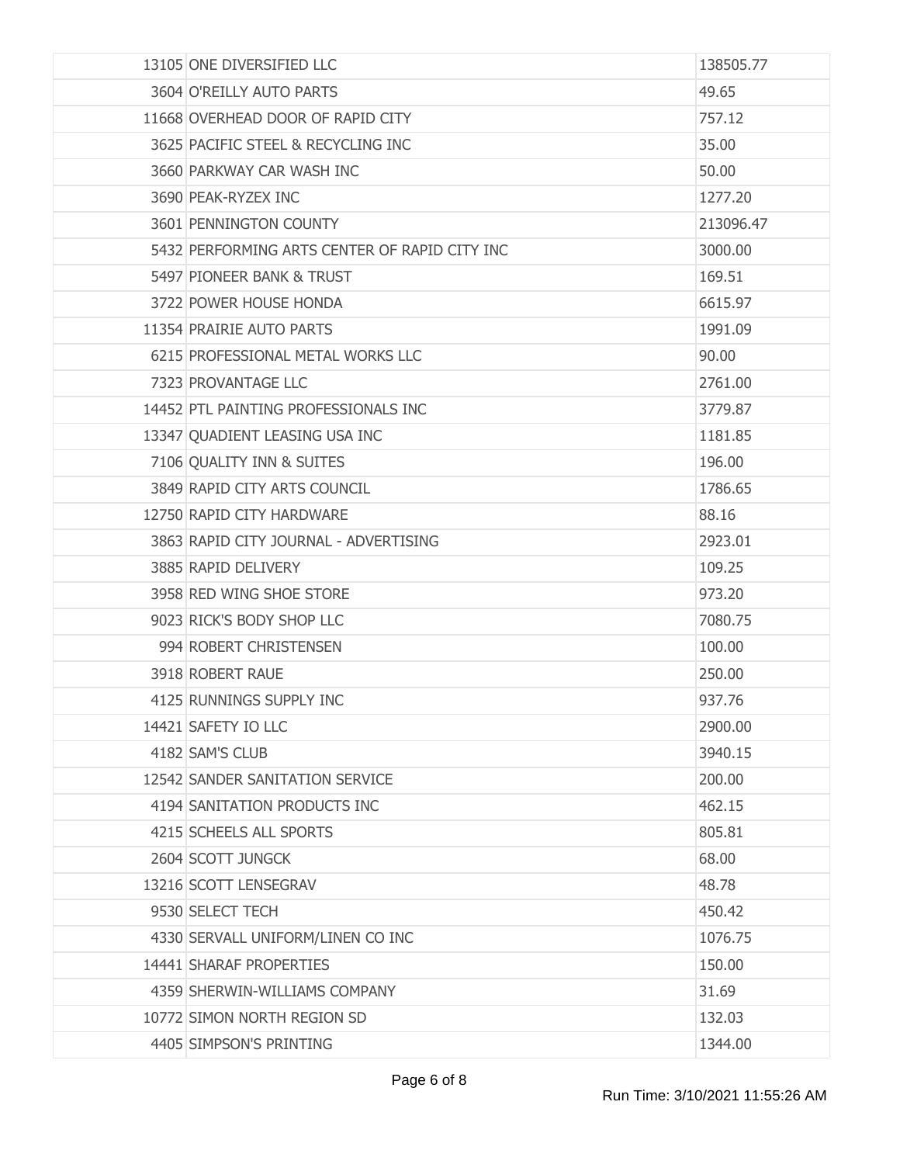| 13105 ONE DIVERSIFIED LLC                     | 138505.77 |
|-----------------------------------------------|-----------|
| 3604 O'REILLY AUTO PARTS                      | 49.65     |
| 11668 OVERHEAD DOOR OF RAPID CITY             | 757.12    |
| 3625 PACIFIC STEEL & RECYCLING INC            | 35.00     |
| 3660 PARKWAY CAR WASH INC                     | 50.00     |
| 3690 PEAK-RYZEX INC                           | 1277.20   |
| 3601 PENNINGTON COUNTY                        | 213096.47 |
| 5432 PERFORMING ARTS CENTER OF RAPID CITY INC | 3000.00   |
| 5497 PIONEER BANK & TRUST                     | 169.51    |
| 3722 POWER HOUSE HONDA                        | 6615.97   |
| 11354 PRAIRIE AUTO PARTS                      | 1991.09   |
| 6215 PROFESSIONAL METAL WORKS LLC             | 90.00     |
| 7323 PROVANTAGE LLC                           | 2761.00   |
| 14452 PTL PAINTING PROFESSIONALS INC          | 3779.87   |
| 13347 QUADIENT LEASING USA INC                | 1181.85   |
| 7106 QUALITY INN & SUITES                     | 196.00    |
| 3849 RAPID CITY ARTS COUNCIL                  | 1786.65   |
| 12750 RAPID CITY HARDWARE                     | 88.16     |
| 3863 RAPID CITY JOURNAL - ADVERTISING         | 2923.01   |
| 3885 RAPID DELIVERY                           | 109.25    |
| 3958 RED WING SHOE STORE                      | 973.20    |
| 9023 RICK'S BODY SHOP LLC                     | 7080.75   |
| 994 ROBERT CHRISTENSEN                        | 100.00    |
| 3918 ROBERT RAUE                              | 250.00    |
| 4125 RUNNINGS SUPPLY INC                      | 937.76    |
| 14421 SAFETY IO LLC                           | 2900.00   |
| 4182 SAM'S CLUB                               | 3940.15   |
| 12542 SANDER SANITATION SERVICE               | 200.00    |
| 4194 SANITATION PRODUCTS INC                  | 462.15    |
| 4215 SCHEELS ALL SPORTS                       | 805.81    |
| 2604 SCOTT JUNGCK                             | 68.00     |
| 13216 SCOTT LENSEGRAV                         | 48.78     |
| 9530 SELECT TECH                              | 450.42    |
| 4330 SERVALL UNIFORM/LINEN CO INC             | 1076.75   |
| 14441 SHARAF PROPERTIES                       | 150.00    |
| 4359 SHERWIN-WILLIAMS COMPANY                 | 31.69     |
| 10772 SIMON NORTH REGION SD                   | 132.03    |
| 4405 SIMPSON'S PRINTING                       | 1344.00   |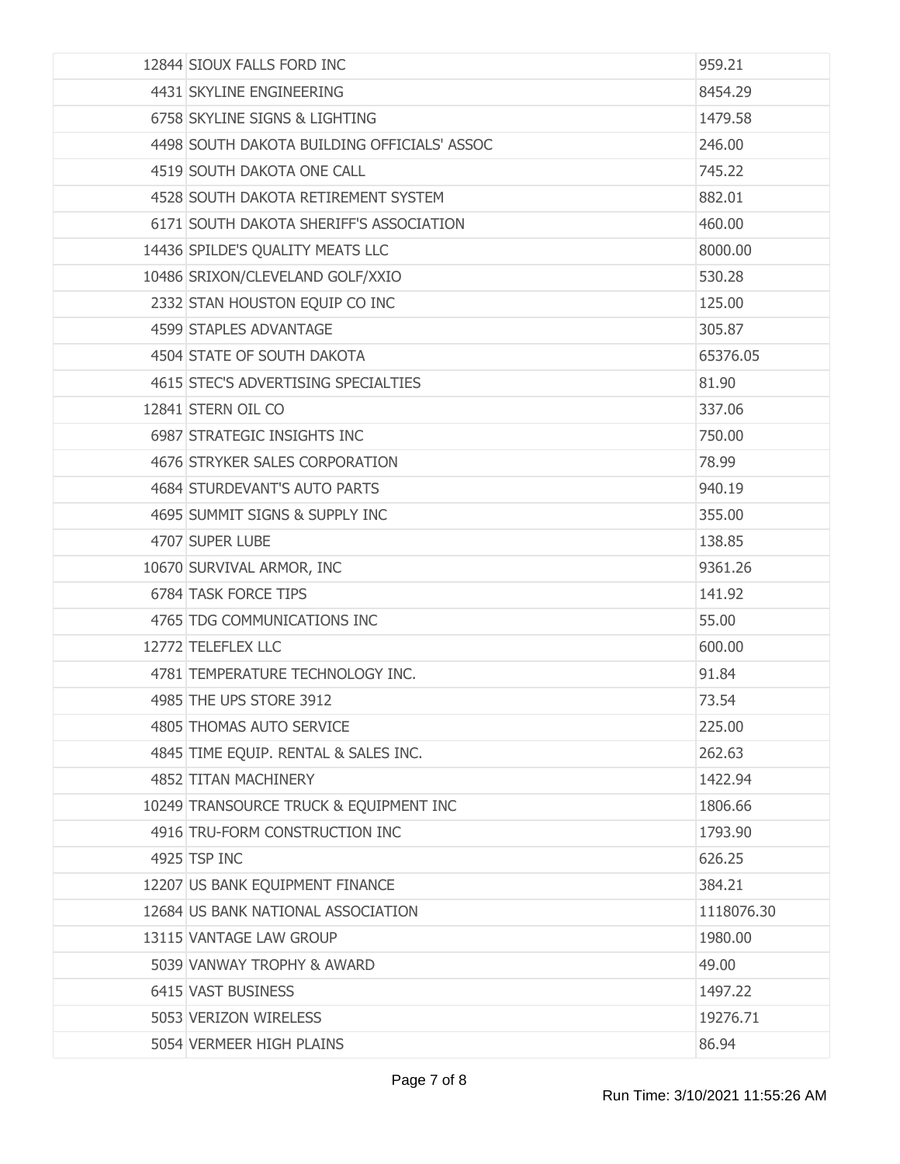| 12844 SIOUX FALLS FORD INC                  | 959.21     |
|---------------------------------------------|------------|
| 4431 SKYLINE ENGINEERING                    | 8454.29    |
| 6758 SKYLINE SIGNS & LIGHTING               | 1479.58    |
| 4498 SOUTH DAKOTA BUILDING OFFICIALS' ASSOC | 246,00     |
| 4519 SOUTH DAKOTA ONE CALL                  | 745.22     |
| 4528 SOUTH DAKOTA RETIREMENT SYSTEM         | 882.01     |
| 6171 SOUTH DAKOTA SHERIFF'S ASSOCIATION     | 460.00     |
| 14436 SPILDE'S QUALITY MEATS LLC            | 8000.00    |
| 10486 SRIXON/CLEVELAND GOLF/XXIO            | 530.28     |
| 2332 STAN HOUSTON EQUIP CO INC              | 125.00     |
| 4599 STAPLES ADVANTAGE                      | 305.87     |
| 4504 STATE OF SOUTH DAKOTA                  | 65376.05   |
| 4615 STEC'S ADVERTISING SPECIALTIES         | 81.90      |
| 12841 STERN OIL CO                          | 337.06     |
| 6987 STRATEGIC INSIGHTS INC                 | 750.00     |
| 4676 STRYKER SALES CORPORATION              | 78.99      |
| 4684 STURDEVANT'S AUTO PARTS                | 940.19     |
| 4695 SUMMIT SIGNS & SUPPLY INC              | 355.00     |
| 4707 SUPER LUBE                             | 138.85     |
| 10670 SURVIVAL ARMOR, INC                   | 9361.26    |
| 6784 TASK FORCE TIPS                        | 141.92     |
| 4765 TDG COMMUNICATIONS INC                 | 55.00      |
| 12772 TELEFLEX LLC                          | 600.00     |
| 4781 TEMPERATURE TECHNOLOGY INC.            | 91.84      |
| 4985 THE UPS STORE 3912                     | 73.54      |
| 4805 THOMAS AUTO SERVICE                    | 225.00     |
| 4845 TIME EQUIP. RENTAL & SALES INC.        | 262.63     |
| 4852 TITAN MACHINERY                        | 1422.94    |
| 10249 TRANSOURCE TRUCK & EQUIPMENT INC      | 1806.66    |
| 4916 TRU-FORM CONSTRUCTION INC              | 1793.90    |
| 4925 TSP INC                                | 626.25     |
| 12207 US BANK EQUIPMENT FINANCE             | 384.21     |
| 12684 US BANK NATIONAL ASSOCIATION          | 1118076.30 |
| 13115 VANTAGE LAW GROUP                     | 1980.00    |
| 5039 VANWAY TROPHY & AWARD                  | 49.00      |
| 6415 VAST BUSINESS                          | 1497.22    |
| 5053 VERIZON WIRELESS                       | 19276.71   |
| 5054 VERMEER HIGH PLAINS                    | 86.94      |